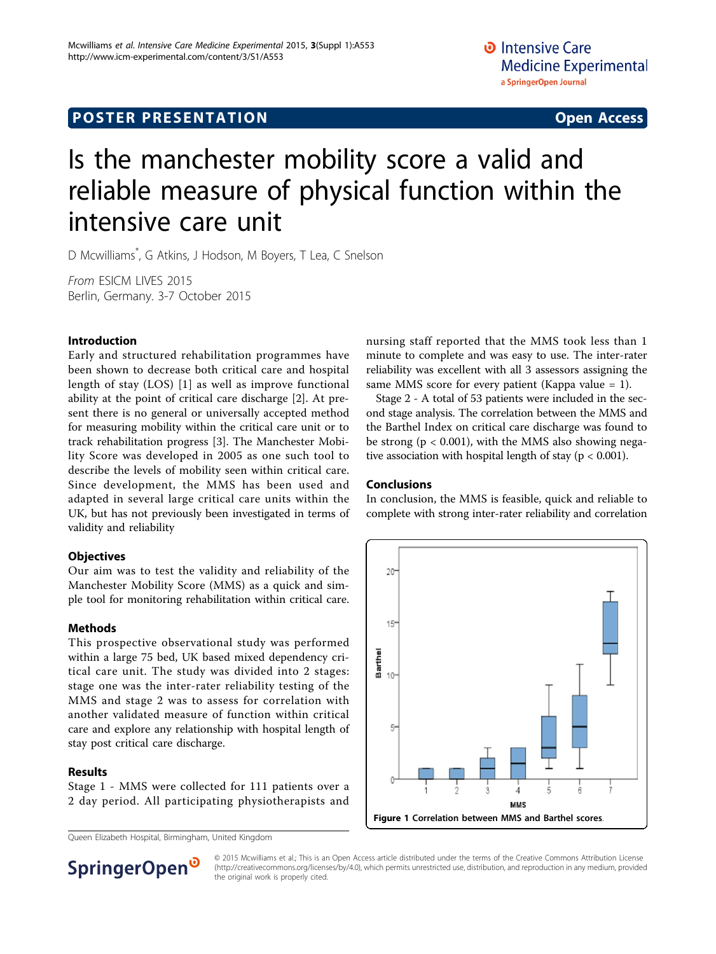# **POSTER PRESENTATION CONSUMING ACCESS**

# Is the manchester mobility score a valid and reliable measure of physical function within the intensive care unit

D Mcwilliams\* , G Atkins, J Hodson, M Boyers, T Lea, C Snelson

From ESICM LIVES 2015 Berlin, Germany. 3-7 October 2015

### Introduction

Early and structured rehabilitation programmes have been shown to decrease both critical care and hospital length of stay (LOS) [[1\]](#page-1-0) as well as improve functional ability at the point of critical care discharge [\[2](#page-1-0)]. At present there is no general or universally accepted method for measuring mobility within the critical care unit or to track rehabilitation progress [[3\]](#page-1-0). The Manchester Mobility Score was developed in 2005 as one such tool to describe the levels of mobility seen within critical care. Since development, the MMS has been used and adapted in several large critical care units within the UK, but has not previously been investigated in terms of validity and reliability

#### **Objectives**

Our aim was to test the validity and reliability of the Manchester Mobility Score (MMS) as a quick and simple tool for monitoring rehabilitation within critical care.

#### Methods

This prospective observational study was performed within a large 75 bed, UK based mixed dependency critical care unit. The study was divided into 2 stages: stage one was the inter-rater reliability testing of the MMS and stage 2 was to assess for correlation with another validated measure of function within critical care and explore any relationship with hospital length of stay post critical care discharge.

## Results

Stage 1 - MMS were collected for 111 patients over a 2 day period. All participating physiotherapists and nursing staff reported that the MMS took less than 1 minute to complete and was easy to use. The inter-rater reliability was excellent with all 3 assessors assigning the same MMS score for every patient (Kappa value = 1).

Stage 2 - A total of 53 patients were included in the second stage analysis. The correlation between the MMS and the Barthel Index on critical care discharge was found to be strong ( $p < 0.001$ ), with the MMS also showing negative association with hospital length of stay ( $p < 0.001$ ).

#### Conclusions

In conclusion, the MMS is feasible, quick and reliable to complete with strong inter-rater reliability and correlation





© 2015 Mcwilliams et al.; This is an Open Access article distributed under the terms of the Creative Commons Attribution License [\(http://creativecommons.org/licenses/by/4.0](http://creativecommons.org/licenses/by/4.0)), which permits unrestricted use, distribution, and reproduction in any medium, provided the original work is properly cited.

Queen Elizabeth Hospital, Birmingham, United Kingdom